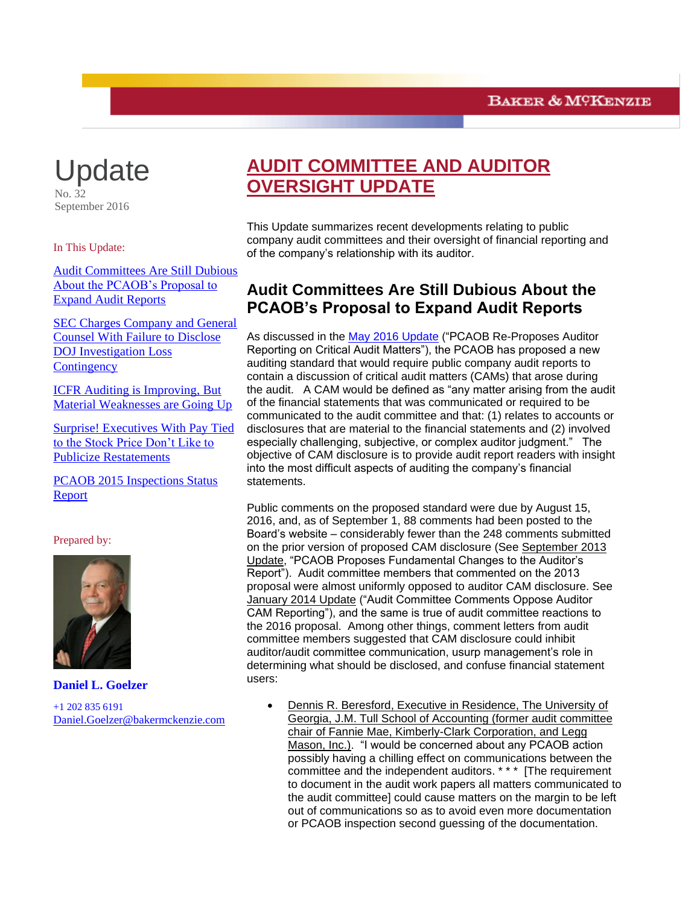

September 2016

In This Update:

<span id="page-0-0"></span>[Audit Committees Are Still Dubious](#page-0-0)  [About the PCAOB's Proposal to](#page-0-0)  [Expand Audit Reports](#page-0-0)

[SEC Charges Company and General](#page-2-0)  [Counsel With Failure to Disclose](#page-2-0)  [DOJ Investigation Loss](#page-2-0)  **[Contingency](#page-2-0)** 

[ICFR Auditing is Improving, But](#page-4-0)  [Material Weaknesses are Going Up](#page-4-0)

[Surprise! Executives With Pay Tied](#page-6-0)  [to the Stock Price Don't Like to](#page-6-0)  [Publicize Restatements](#page-6-0)

[PCAOB 2015 Inspections Status](#page-7-0)  [Report](#page-7-0)

#### Prepared by:



**Daniel L. Goelzer** +1 202 835 6191

[Daniel.Goelzer@bakermckenzie.com](mailto:Daniel.Goelzer@bakermckenzie.com)

# **AUDIT COMMITTEE AND AUDITOR OVERSIGHT UPDATE**

This Update summarizes recent developments relating to public company audit committees and their oversight of financial reporting and of the company's relationship with its auditor.

## **Audit Committees Are Still Dubious About the PCAOB's Proposal to Expand Audit Reports**

As discussed in the [May 2016 Update](http://www.bakermckenzie.com/-/media/files/insight/publications/2016/05/audit-committee-and-auditor-oversight-update/nl_na_auditpupdate_may16.pdf?la=en) ("PCAOB Re-Proposes Auditor Reporting on Critical Audit Matters"), the PCAOB has proposed a new auditing standard that would require public company audit reports to contain a discussion of critical audit matters (CAMs) that arose during the audit. A CAM would be defined as "any matter arising from the audit of the financial statements that was communicated or required to be communicated to the audit committee and that: (1) relates to accounts or disclosures that are material to the financial statements and (2) involved especially challenging, subjective, or complex auditor judgment." The objective of CAM disclosure is to provide audit report readers with insight into the most difficult aspects of auditing the company's financial statements.

Public comments on the proposed standard were due by August 15, 2016, and, as of September 1, 88 comments had been posted to the Board's website – considerably fewer than the 248 comments submitted on the prior version of proposed CAM disclosure (See September 2013 Update, "PCAOB Proposes Fundamental Changes to the Auditor's Report"). Audit committee members that commented on the 2013 proposal were almost uniformly opposed to auditor CAM disclosure. See January 2014 Update ("Audit Committee Comments Oppose Auditor CAM Reporting"), and the same is true of audit committee reactions to the 2016 proposal. Among other things, comment letters from audit committee members suggested that CAM disclosure could inhibit auditor/audit committee communication, usurp management's role in determining what should be disclosed, and confuse financial statement users:

 Dennis R. Beresford, Executive in Residence, The University of Georgia, J.M. Tull School of Accounting (former audit committee chair of Fannie Mae, Kimberly-Clark Corporation, and Legg Mason, Inc.). "I would be concerned about any PCAOB action possibly having a chilling effect on communications between the committee and the independent auditors. \* \* \* [The requirement to document in the audit work papers all matters communicated to the audit committee] could cause matters on the margin to be left out of communications so as to avoid even more documentation or PCAOB inspection second guessing of the documentation.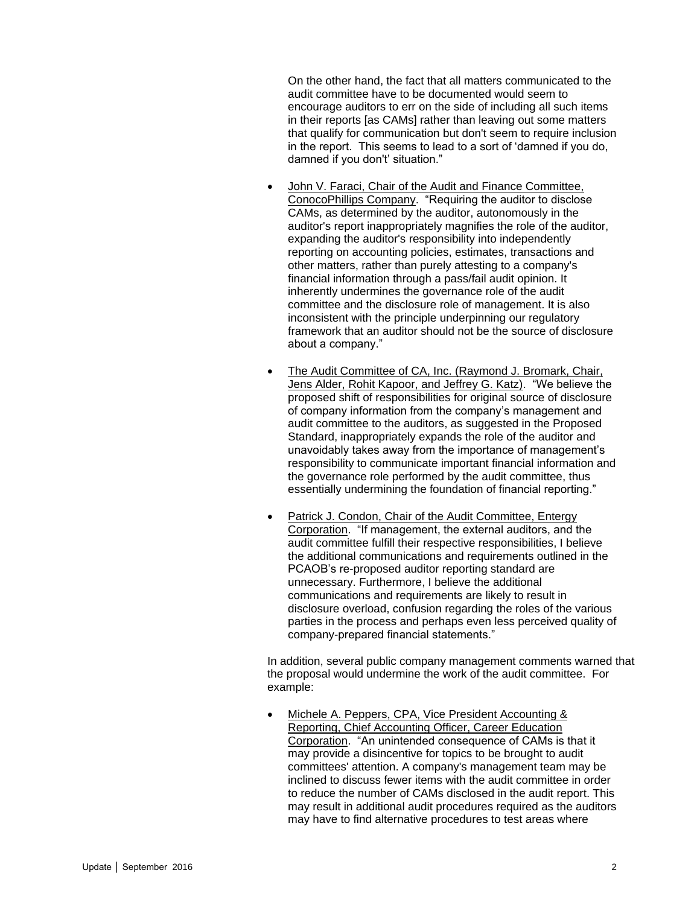On the other hand, the fact that all matters communicated to the audit committee have to be documented would seem to encourage auditors to err on the side of including all such items in their reports [as CAMs] rather than leaving out some matters that qualify for communication but don't seem to require inclusion in the report. This seems to lead to a sort of 'damned if you do, damned if you don't' situation."

- John V. Faraci, Chair of the Audit and Finance Committee, ConocoPhillips Company. "Requiring the auditor to disclose CAMs, as determined by the auditor, autonomously in the auditor's report inappropriately magnifies the role of the auditor, expanding the auditor's responsibility into independently reporting on accounting policies, estimates, transactions and other matters, rather than purely attesting to a company's financial information through a pass/fail audit opinion. It inherently undermines the governance role of the audit committee and the disclosure role of management. It is also inconsistent with the principle underpinning our regulatory framework that an auditor should not be the source of disclosure about a company."
- The Audit Committee of CA, Inc. (Raymond J. Bromark, Chair, Jens Alder, Rohit Kapoor, and Jeffrey G. Katz). "We believe the proposed shift of responsibilities for original source of disclosure of company information from the company's management and audit committee to the auditors, as suggested in the Proposed Standard, inappropriately expands the role of the auditor and unavoidably takes away from the importance of management's responsibility to communicate important financial information and the governance role performed by the audit committee, thus essentially undermining the foundation of financial reporting."
- Patrick J. Condon, Chair of the Audit Committee, Entergy Corporation. "If management, the external auditors, and the audit committee fulfill their respective responsibilities, I believe the additional communications and requirements outlined in the PCAOB's re-proposed auditor reporting standard are unnecessary. Furthermore, I believe the additional communications and requirements are likely to result in disclosure overload, confusion regarding the roles of the various parties in the process and perhaps even less perceived quality of company-prepared financial statements."

In addition, several public company management comments warned that the proposal would undermine the work of the audit committee. For example:

 Michele A. Peppers, CPA, Vice President Accounting & Reporting, Chief Accounting Officer, Career Education Corporation. "An unintended consequence of CAMs is that it may provide a disincentive for topics to be brought to audit committees' attention. A company's management team may be inclined to discuss fewer items with the audit committee in order to reduce the number of CAMs disclosed in the audit report. This may result in additional audit procedures required as the auditors may have to find alternative procedures to test areas where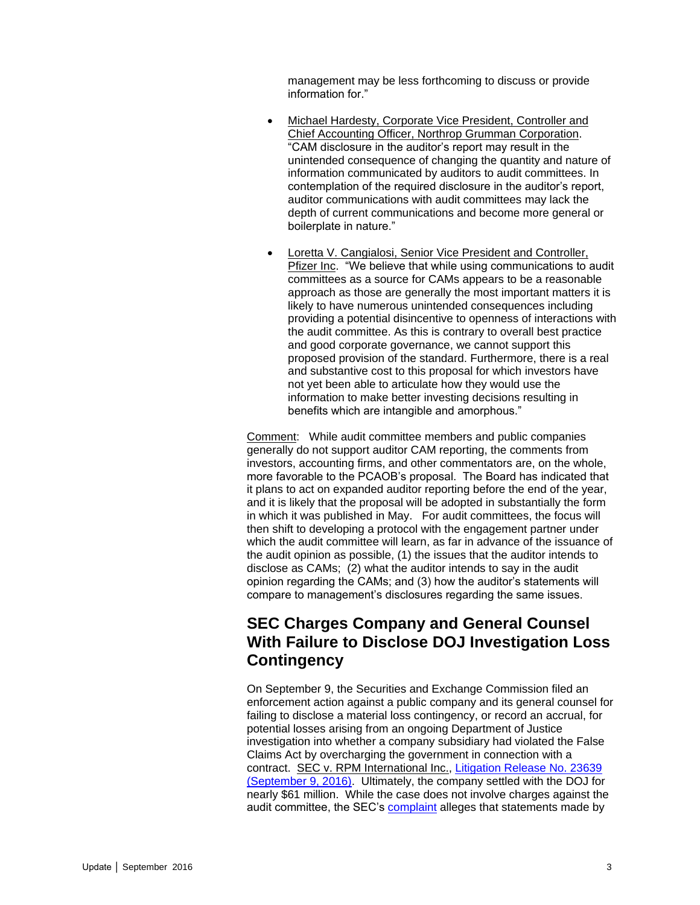management may be less forthcoming to discuss or provide information for."

- Michael Hardesty, Corporate Vice President, Controller and Chief Accounting Officer, Northrop Grumman Corporation. "CAM disclosure in the auditor's report may result in the unintended consequence of changing the quantity and nature of information communicated by auditors to audit committees. In contemplation of the required disclosure in the auditor's report, auditor communications with audit committees may lack the depth of current communications and become more general or boilerplate in nature."
- Loretta V. Cangialosi, Senior Vice President and Controller, Pfizer Inc. "We believe that while using communications to audit committees as a source for CAMs appears to be a reasonable approach as those are generally the most important matters it is likely to have numerous unintended consequences including providing a potential disincentive to openness of interactions with the audit committee. As this is contrary to overall best practice and good corporate governance, we cannot support this proposed provision of the standard. Furthermore, there is a real and substantive cost to this proposal for which investors have not yet been able to articulate how they would use the information to make better investing decisions resulting in benefits which are intangible and amorphous."

Comment: While audit committee members and public companies generally do not support auditor CAM reporting, the comments from investors, accounting firms, and other commentators are, on the whole, more favorable to the PCAOB's proposal. The Board has indicated that it plans to act on expanded auditor reporting before the end of the year, and it is likely that the proposal will be adopted in substantially the form in which it was published in May. For audit committees, the focus will then shift to developing a protocol with the engagement partner under which the audit committee will learn, as far in advance of the issuance of the audit opinion as possible, (1) the issues that the auditor intends to disclose as CAMs; (2) what the auditor intends to say in the audit opinion regarding the CAMs; and (3) how the auditor's statements will compare to management's disclosures regarding the same issues.

### <span id="page-2-0"></span>**SEC Charges Company and General Counsel With Failure to Disclose DOJ Investigation Loss Contingency**

On September 9, the Securities and Exchange Commission filed an enforcement action against a public company and its general counsel for failing to disclose a material loss contingency, or record an accrual, for potential losses arising from an ongoing Department of Justice investigation into whether a company subsidiary had violated the False Claims Act by overcharging the government in connection with a contract. SEC v. RPM International Inc., [Litigation Release No. 23639](https://www.sec.gov/litigation/litreleases/2016/lr23639.htm)  [\(September 9, 2016\).](https://www.sec.gov/litigation/litreleases/2016/lr23639.htm) Ultimately, the company settled with the DOJ for nearly \$61 million. While the case does not involve charges against the audit committee, the SEC's [complaint](https://www.sec.gov/litigation/complaints/2016/comp23639.pdf) alleges that statements made by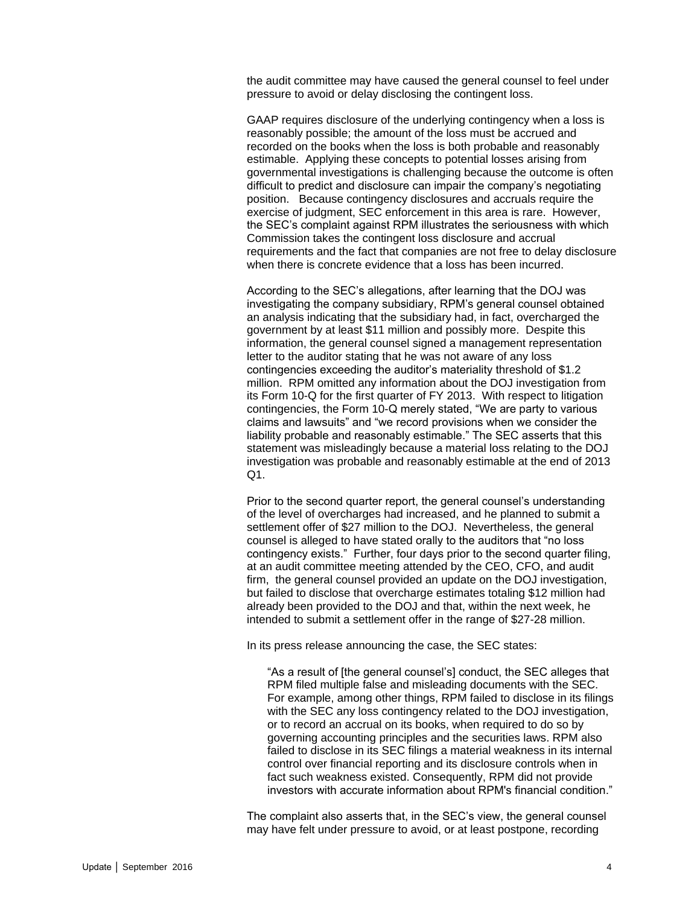the audit committee may have caused the general counsel to feel under pressure to avoid or delay disclosing the contingent loss.

GAAP requires disclosure of the underlying contingency when a loss is reasonably possible; the amount of the loss must be accrued and recorded on the books when the loss is both probable and reasonably estimable. Applying these concepts to potential losses arising from governmental investigations is challenging because the outcome is often difficult to predict and disclosure can impair the company's negotiating position. Because contingency disclosures and accruals require the exercise of judgment, SEC enforcement in this area is rare. However, the SEC's complaint against RPM illustrates the seriousness with which Commission takes the contingent loss disclosure and accrual requirements and the fact that companies are not free to delay disclosure when there is concrete evidence that a loss has been incurred.

According to the SEC's allegations, after learning that the DOJ was investigating the company subsidiary, RPM's general counsel obtained an analysis indicating that the subsidiary had, in fact, overcharged the government by at least \$11 million and possibly more. Despite this information, the general counsel signed a management representation letter to the auditor stating that he was not aware of any loss contingencies exceeding the auditor's materiality threshold of \$1.2 million. RPM omitted any information about the DOJ investigation from its Form 10-Q for the first quarter of FY 2013. With respect to litigation contingencies, the Form 10-Q merely stated, "We are party to various claims and lawsuits" and "we record provisions when we consider the liability probable and reasonably estimable." The SEC asserts that this statement was misleadingly because a material loss relating to the DOJ investigation was probable and reasonably estimable at the end of 2013  $Q1$ .

Prior to the second quarter report, the general counsel's understanding of the level of overcharges had increased, and he planned to submit a settlement offer of \$27 million to the DOJ. Nevertheless, the general counsel is alleged to have stated orally to the auditors that "no loss contingency exists." Further, four days prior to the second quarter filing, at an audit committee meeting attended by the CEO, CFO, and audit firm, the general counsel provided an update on the DOJ investigation, but failed to disclose that overcharge estimates totaling \$12 million had already been provided to the DOJ and that, within the next week, he intended to submit a settlement offer in the range of \$27-28 million.

In its press release announcing the case, the SEC states:

"As a result of [the general counsel's] conduct, the SEC alleges that RPM filed multiple false and misleading documents with the SEC. For example, among other things, RPM failed to disclose in its filings with the SEC any loss contingency related to the DOJ investigation, or to record an accrual on its books, when required to do so by governing accounting principles and the securities laws. RPM also failed to disclose in its SEC filings a material weakness in its internal control over financial reporting and its disclosure controls when in fact such weakness existed. Consequently, RPM did not provide investors with accurate information about RPM's financial condition."

The complaint also asserts that, in the SEC's view, the general counsel may have felt under pressure to avoid, or at least postpone, recording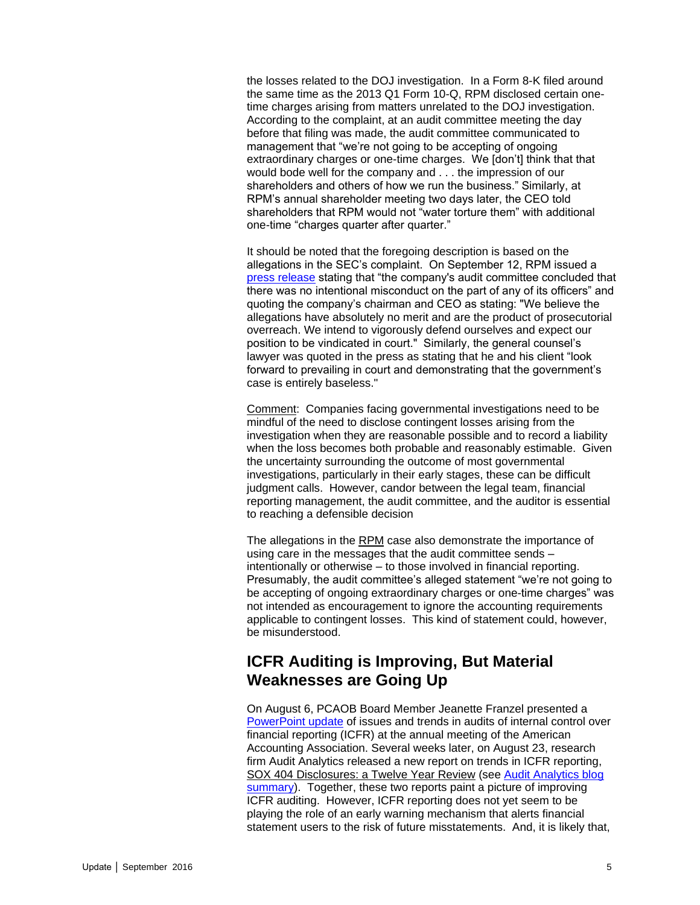the losses related to the DOJ investigation. In a Form 8-K filed around the same time as the 2013 Q1 Form 10-Q, RPM disclosed certain onetime charges arising from matters unrelated to the DOJ investigation. According to the complaint, at an audit committee meeting the day before that filing was made, the audit committee communicated to management that "we're not going to be accepting of ongoing extraordinary charges or one-time charges. We [don't] think that that would bode well for the company and . . . the impression of our shareholders and others of how we run the business." Similarly, at RPM's annual shareholder meeting two days later, the CEO told shareholders that RPM would not "water torture them" with additional one-time "charges quarter after quarter."

It should be noted that the foregoing description is based on the allegations in the SEC's complaint. On September 12, RPM issued a [press release](http://www.rpminc.com/news-releases/news-release/?reqid=2200952) stating that "the company's audit committee concluded that there was no intentional misconduct on the part of any of its officers" and quoting the company's chairman and CEO as stating: "We believe the allegations have absolutely no merit and are the product of prosecutorial overreach. We intend to vigorously defend ourselves and expect our position to be vindicated in court." Similarly, the general counsel's lawyer was quoted in the press as stating that he and his client "look forward to prevailing in court and demonstrating that the government's case is entirely baseless."

Comment: Companies facing governmental investigations need to be mindful of the need to disclose contingent losses arising from the investigation when they are reasonable possible and to record a liability when the loss becomes both probable and reasonably estimable. Given the uncertainty surrounding the outcome of most governmental investigations, particularly in their early stages, these can be difficult judgment calls. However, candor between the legal team, financial reporting management, the audit committee, and the auditor is essential to reaching a defensible decision

The allegations in the RPM case also demonstrate the importance of using care in the messages that the audit committee sends – intentionally or otherwise – to those involved in financial reporting. Presumably, the audit committee's alleged statement "we're not going to be accepting of ongoing extraordinary charges or one-time charges" was not intended as encouragement to ignore the accounting requirements applicable to contingent losses. This kind of statement could, however, be misunderstood.

### <span id="page-4-0"></span>**ICFR Auditing is Improving, But Material Weaknesses are Going Up**

On August 6, PCAOB Board Member Jeanette Franzel presented a [PowerPoint update](https://pcaobus.org/News/Speech/Documents/Franzel-AAA-ICFR-08-06-2016.pdf) of issues and trends in audits of internal control over financial reporting (ICFR) at the annual meeting of the American Accounting Association. Several weeks later, on August 23, research firm Audit Analytics released a new report on trends in ICFR reporting, SOX 404 Disclosures: a Twelve Year Review (see [Audit Analytics blog](http://www.auditanalytics.com/blog/sox-404-disclosures-a-twelve-year-review/)  [summary\)](http://www.auditanalytics.com/blog/sox-404-disclosures-a-twelve-year-review/). Together, these two reports paint a picture of improving ICFR auditing. However, ICFR reporting does not yet seem to be playing the role of an early warning mechanism that alerts financial statement users to the risk of future misstatements. And, it is likely that,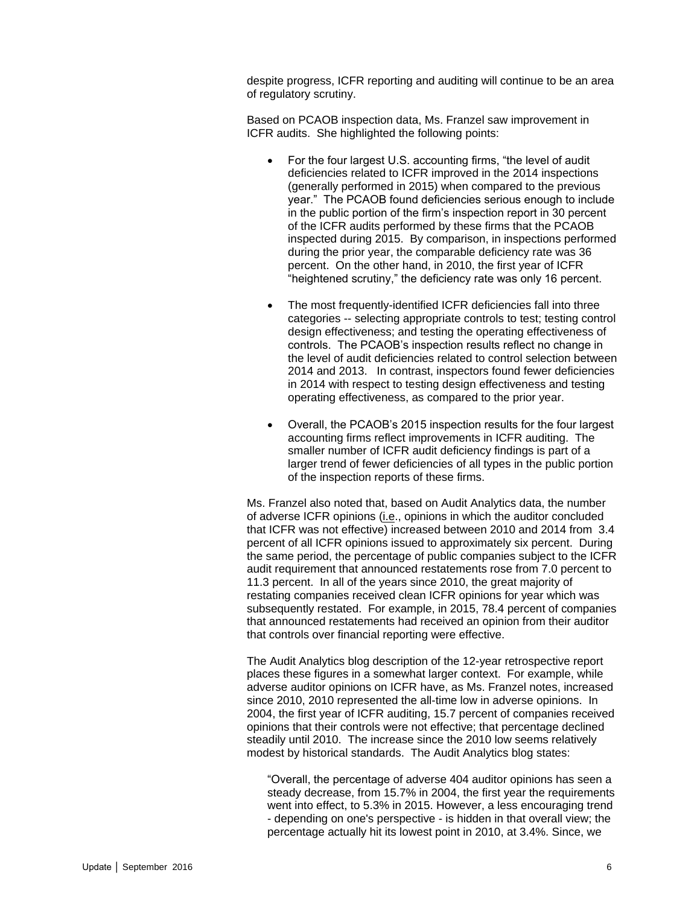despite progress, ICFR reporting and auditing will continue to be an area of regulatory scrutiny.

Based on PCAOB inspection data, Ms. Franzel saw improvement in ICFR audits. She highlighted the following points:

- For the four largest U.S. accounting firms, "the level of audit deficiencies related to ICFR improved in the 2014 inspections (generally performed in 2015) when compared to the previous year." The PCAOB found deficiencies serious enough to include in the public portion of the firm's inspection report in 30 percent of the ICFR audits performed by these firms that the PCAOB inspected during 2015. By comparison, in inspections performed during the prior year, the comparable deficiency rate was 36 percent. On the other hand, in 2010, the first year of ICFR "heightened scrutiny," the deficiency rate was only 16 percent.
- The most frequently-identified ICFR deficiencies fall into three categories -- selecting appropriate controls to test; testing control design effectiveness; and testing the operating effectiveness of controls. The PCAOB's inspection results reflect no change in the level of audit deficiencies related to control selection between 2014 and 2013. In contrast, inspectors found fewer deficiencies in 2014 with respect to testing design effectiveness and testing operating effectiveness, as compared to the prior year.
- Overall, the PCAOB's 2015 inspection results for the four largest accounting firms reflect improvements in ICFR auditing. The smaller number of ICFR audit deficiency findings is part of a larger trend of fewer deficiencies of all types in the public portion of the inspection reports of these firms.

Ms. Franzel also noted that, based on Audit Analytics data, the number of adverse ICFR opinions (i.e., opinions in which the auditor concluded that ICFR was not effective) increased between 2010 and 2014 from 3.4 percent of all ICFR opinions issued to approximately six percent. During the same period, the percentage of public companies subject to the ICFR audit requirement that announced restatements rose from 7.0 percent to 11.3 percent. In all of the years since 2010, the great majority of restating companies received clean ICFR opinions for year which was subsequently restated. For example, in 2015, 78.4 percent of companies that announced restatements had received an opinion from their auditor that controls over financial reporting were effective.

The Audit Analytics blog description of the 12-year retrospective report places these figures in a somewhat larger context. For example, while adverse auditor opinions on ICFR have, as Ms. Franzel notes, increased since 2010, 2010 represented the all-time low in adverse opinions. In 2004, the first year of ICFR auditing, 15.7 percent of companies received opinions that their controls were not effective; that percentage declined steadily until 2010. The increase since the 2010 low seems relatively modest by historical standards. The Audit Analytics blog states:

"Overall, the percentage of adverse 404 auditor opinions has seen a steady decrease, from 15.7% in 2004, the first year the requirements went into effect, to 5.3% in 2015. However, a less encouraging trend - depending on one's perspective - is hidden in that overall view; the percentage actually hit its lowest point in 2010, at 3.4%. Since, we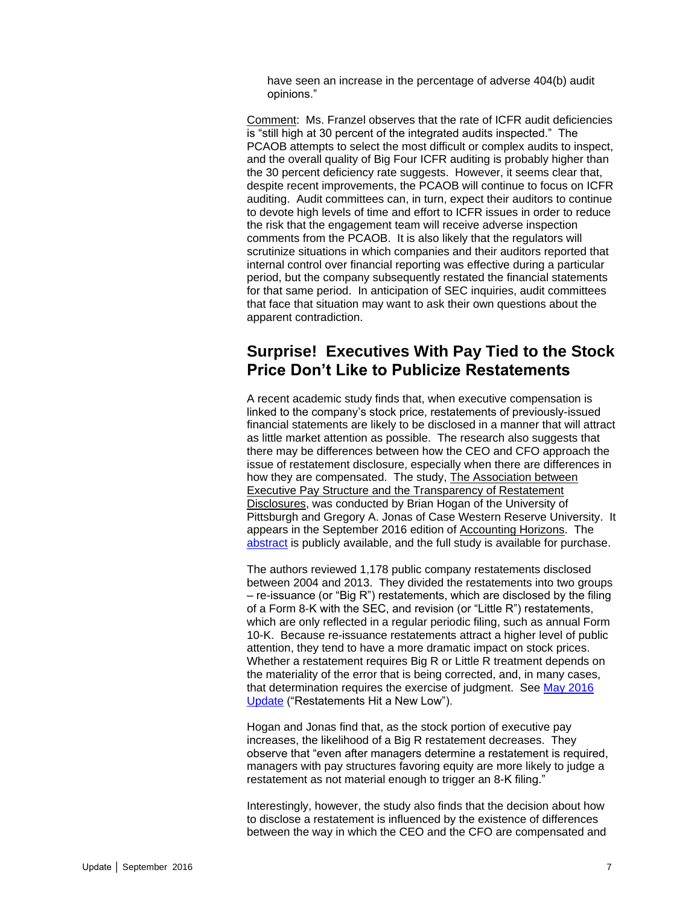have seen an increase in the percentage of adverse 404(b) audit opinions."

Comment: Ms. Franzel observes that the rate of ICFR audit deficiencies is "still high at 30 percent of the integrated audits inspected." The PCAOB attempts to select the most difficult or complex audits to inspect, and the overall quality of Big Four ICFR auditing is probably higher than the 30 percent deficiency rate suggests. However, it seems clear that, despite recent improvements, the PCAOB will continue to focus on ICFR auditing. Audit committees can, in turn, expect their auditors to continue to devote high levels of time and effort to ICFR issues in order to reduce the risk that the engagement team will receive adverse inspection comments from the PCAOB. It is also likely that the regulators will scrutinize situations in which companies and their auditors reported that internal control over financial reporting was effective during a particular period, but the company subsequently restated the financial statements for that same period. In anticipation of SEC inquiries, audit committees that face that situation may want to ask their own questions about the apparent contradiction.

#### <span id="page-6-0"></span>**Surprise! Executives With Pay Tied to the Stock Price Don't Like to Publicize Restatements**

A recent academic study finds that, when executive compensation is linked to the company's stock price, restatements of previously-issued financial statements are likely to be disclosed in a manner that will attract as little market attention as possible. The research also suggests that there may be differences between how the CEO and CFO approach the issue of restatement disclosure, especially when there are differences in how they are compensated. The study, The Association between Executive Pay Structure and the Transparency of Restatement Disclosures, was conducted by Brian Hogan of the University of Pittsburgh and Gregory A. Jonas of Case Western Reserve University. It appears in the September 2016 edition of Accounting Horizons. The [abstract](http://aaajournals.org/doi/abs/10.2308/acch-51454) is publicly available, and the full study is available for purchase.

The authors reviewed 1,178 public company restatements disclosed between 2004 and 2013. They divided the restatements into two groups – re-issuance (or "Big R") restatements, which are disclosed by the filing of a Form 8-K with the SEC, and revision (or "Little R") restatements, which are only reflected in a regular periodic filing, such as annual Form 10-K. Because re-issuance restatements attract a higher level of public attention, they tend to have a more dramatic impact on stock prices. Whether a restatement requires Big R or Little R treatment depends on the materiality of the error that is being corrected, and, in many cases, that determination requires the exercise of judgment. See [May 2016](http://www.bakermckenzie.com/-/media/files/insight/publications/2016/05/audit-committee-and-auditor-oversight-update/nl_na_auditpupdate_may16.pdf?la=en)  [Update](http://www.bakermckenzie.com/-/media/files/insight/publications/2016/05/audit-committee-and-auditor-oversight-update/nl_na_auditpupdate_may16.pdf?la=en) ("Restatements Hit a New Low").

Hogan and Jonas find that, as the stock portion of executive pay increases, the likelihood of a Big R restatement decreases. They observe that "even after managers determine a restatement is required, managers with pay structures favoring equity are more likely to judge a restatement as not material enough to trigger an 8-K filing."

Interestingly, however, the study also finds that the decision about how to disclose a restatement is influenced by the existence of differences between the way in which the CEO and the CFO are compensated and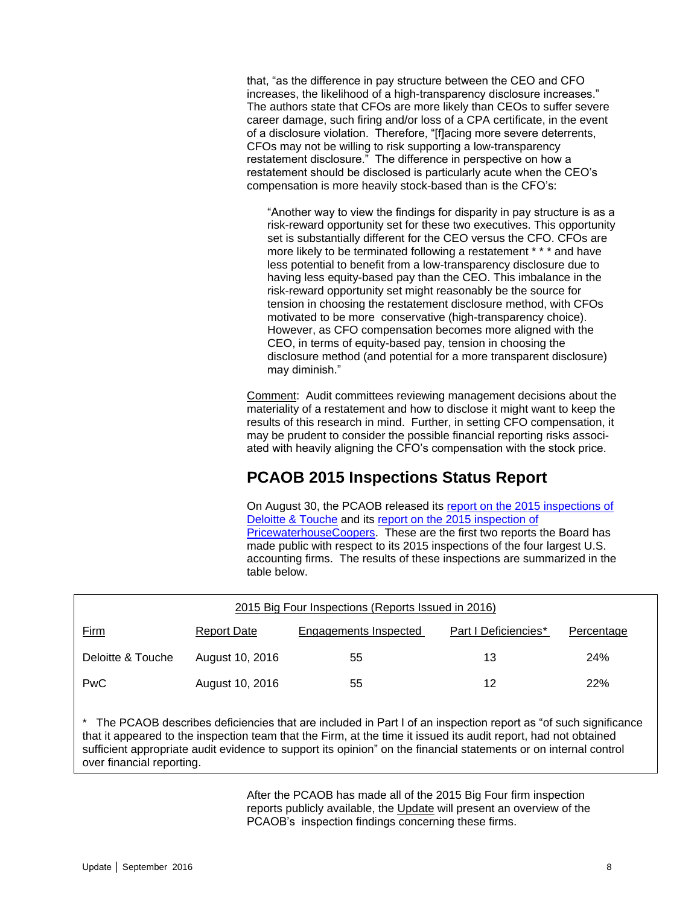that, "as the difference in pay structure between the CEO and CFO increases, the likelihood of a high-transparency disclosure increases." The authors state that CFOs are more likely than CEOs to suffer severe career damage, such firing and/or loss of a CPA certificate, in the event of a disclosure violation. Therefore, "[f]acing more severe deterrents, CFOs may not be willing to risk supporting a low-transparency restatement disclosure." The difference in perspective on how a restatement should be disclosed is particularly acute when the CEO's compensation is more heavily stock-based than is the CFO's:

"Another way to view the findings for disparity in pay structure is as a risk-reward opportunity set for these two executives. This opportunity set is substantially different for the CEO versus the CFO. CFOs are more likely to be terminated following a restatement \* \* \* and have less potential to benefit from a low-transparency disclosure due to having less equity-based pay than the CEO. This imbalance in the risk-reward opportunity set might reasonably be the source for tension in choosing the restatement disclosure method, with CFOs motivated to be more conservative (high-transparency choice). However, as CFO compensation becomes more aligned with the CEO, in terms of equity-based pay, tension in choosing the disclosure method (and potential for a more transparent disclosure) may diminish."

Comment: Audit committees reviewing management decisions about the materiality of a restatement and how to disclose it might want to keep the results of this research in mind. Further, in setting CFO compensation, it may be prudent to consider the possible financial reporting risks associated with heavily aligning the CFO's compensation with the stock price.

## **PCAOB 2015 Inspections Status Report**

On August 30, the PCAOB released its [report on the 2015 inspections of](https://pcaobus.org/Inspections/Reports/Documents/104-2016-141-Deloitte.pdf)  [Deloitte & Touche](https://pcaobus.org/Inspections/Reports/Documents/104-2016-141-Deloitte.pdf) and its [report on the 2015 inspection of](https://pcaobus.org/Inspections/Reports/Documents/104-2016-140-PwC.pdf)  [PricewaterhouseCoopers.](https://pcaobus.org/Inspections/Reports/Documents/104-2016-140-PwC.pdf) These are the first two reports the Board has made public with respect to its 2015 inspections of the four largest U.S. accounting firms. The results of these inspections are summarized in the table below.

<span id="page-7-0"></span>

| 2015 Big Four Inspections (Reports Issued in 2016) |                    |                              |                      |                   |
|----------------------------------------------------|--------------------|------------------------------|----------------------|-------------------|
| <u>Firm</u>                                        | <b>Report Date</b> | <b>Engagements Inspected</b> | Part   Deficiencies* | <b>Percentage</b> |
| Deloitte & Touche                                  | August 10, 2016    | 55                           | 13                   | 24%               |
| <b>PwC</b>                                         | August 10, 2016    | 55                           | 12                   | <b>22%</b>        |

\* The PCAOB describes deficiencies that are included in Part I of an inspection report as "of such significance that it appeared to the inspection team that the Firm, at the time it issued its audit report, had not obtained sufficient appropriate audit evidence to support its opinion" on the financial statements or on internal control over financial reporting.

> After the PCAOB has made all of the 2015 Big Four firm inspection reports publicly available, the Update will present an overview of the PCAOB's inspection findings concerning these firms.